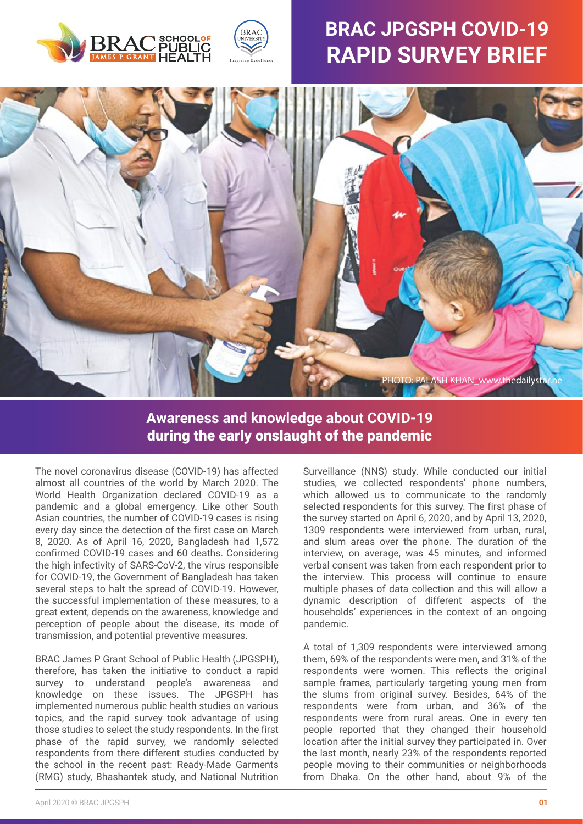



# **BRAC JPGSPH COVID-19 RAPID SURVEY BRIEF**



## **Awareness and knowledge about COVID-19** during the early onslaught of the pandemic

The novel coronavirus disease (COVID-19) has affected almost all countries of the world by March 2020. The World Health Organization declared COVID-19 as a pandemic and a global emergency. Like other South Asian countries, the number of COVID-19 cases is rising every day since the detection of the first case on March 8, 2020. As of April 16, 2020, Bangladesh had 1,572 confirmed COVID-19 cases and 60 deaths. Considering the high infectivity of SARS-CoV-2, the virus responsible for COVID-19, the Government of Bangladesh has taken several steps to halt the spread of COVID-19. However, the successful implementation of these measures, to a great extent, depends on the awareness, knowledge and perception of people about the disease, its mode of transmission, and potential preventive measures.

BRAC James P Grant School of Public Health (JPGSPH), therefore, has taken the initiative to conduct a rapid survey to understand people's awareness and knowledge on these issues. The JPGSPH has implemented numerous public health studies on various topics, and the rapid survey took advantage of using those studies to select the study respondents. In the first phase of the rapid survey, we randomly selected respondents from there different studies conducted by the school in the recent past: Ready-Made Garments (RMG) study, Bhashantek study, and National Nutrition

Surveillance (NNS) study. While conducted our initial studies, we collected respondents' phone numbers, which allowed us to communicate to the randomly selected respondents for this survey. The first phase of the survey started on April 6, 2020, and by April 13, 2020, 1309 respondents were interviewed from urban, rural, and slum areas over the phone. The duration of the interview, on average, was 45 minutes, and informed verbal consent was taken from each respondent prior to the interview. This process will continue to ensure multiple phases of data collection and this will allow a dynamic description of different aspects of the households' experiences in the context of an ongoing pandemic.

A total of 1,309 respondents were interviewed among them, 69% of the respondents were men, and 31% of the respondents were women. This reflects the original sample frames, particularly targeting young men from the slums from original survey. Besides, 64% of the respondents were from urban, and 36% of the respondents were from rural areas. One in every ten people reported that they changed their household location after the initial survey they participated in. Over the last month, nearly 23% of the respondents reported people moving to their communities or neighborhoods from Dhaka. On the other hand, about 9% of the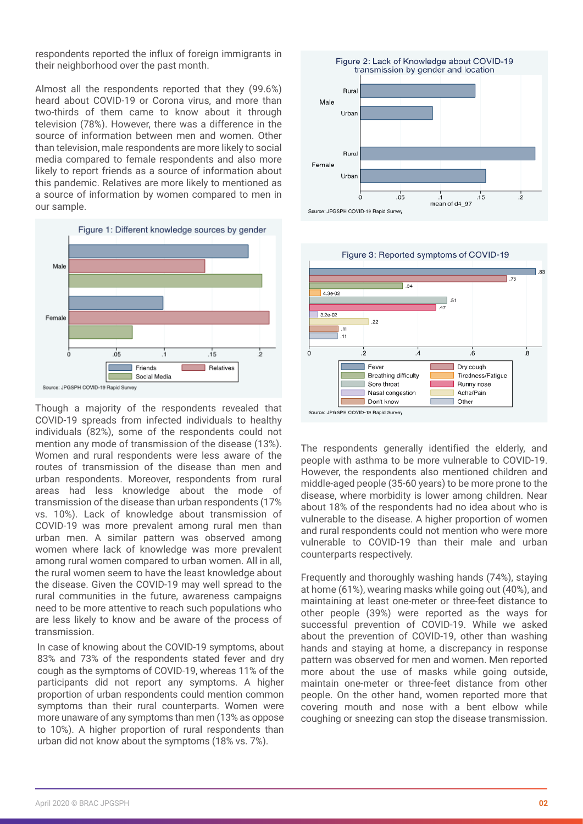respondents reported the influx of foreign immigrants in their neighborhood over the past month.

Almost all the respondents reported that they (99.6%) heard about COVID-19 or Corona virus, and more than two-thirds of them came to know about it through television (78%). However, there was a difference in the source of information between men and women. Other than television, male respondents are more likely to social media compared to female respondents and also more likely to report friends as a source of information about this pandemic. Relatives are more likely to mentioned as a source of information by women compared to men in our sample.



Though a majority of the respondents revealed that COVID-19 spreads from infected individuals to healthy individuals (82%), some of the respondents could not mention any mode of transmission of the disease (13%). Women and rural respondents were less aware of the routes of transmission of the disease than men and urban respondents. Moreover, respondents from rural areas had less knowledge about the mode of transmission of the disease than urban respondents (17% vs. 10%). Lack of knowledge about transmission of COVID-19 was more prevalent among rural men than urban men. A similar pattern was observed among women where lack of knowledge was more prevalent among rural women compared to urban women. All in all, the rural women seem to have the least knowledge about the disease. Given the COVID-19 may well spread to the rural communities in the future, awareness campaigns need to be more attentive to reach such populations who are less likely to know and be aware of the process of transmission.

In case of knowing about the COVID-19 symptoms, about 83% and 73% of the respondents stated fever and dry cough as the symptoms of COVID-19, whereas 11% of the participants did not report any symptoms. A higher proportion of urban respondents could mention common symptoms than their rural counterparts. Women were more unaware of any symptoms than men (13% as oppose to 10%). A higher proportion of rural respondents than urban did not know about the symptoms (18% vs. 7%).





The respondents generally identified the elderly, and people with asthma to be more vulnerable to COVID-19. However, the respondents also mentioned children and middle-aged people (35-60 years) to be more prone to the disease, where morbidity is lower among children. Near about 18% of the respondents had no idea about who is vulnerable to the disease. A higher proportion of women and rural respondents could not mention who were more vulnerable to COVID-19 than their male and urban counterparts respectively.

Frequently and thoroughly washing hands (74%), staying at home (61%), wearing masks while going out (40%), and maintaining at least one-meter or three-feet distance to other people (39%) were reported as the ways for successful prevention of COVID-19. While we asked about the prevention of COVID-19, other than washing hands and staying at home, a discrepancy in response pattern was observed for men and women. Men reported more about the use of masks while going outside, maintain one-meter or three-feet distance from other people. On the other hand, women reported more that covering mouth and nose with a bent elbow while coughing or sneezing can stop the disease transmission.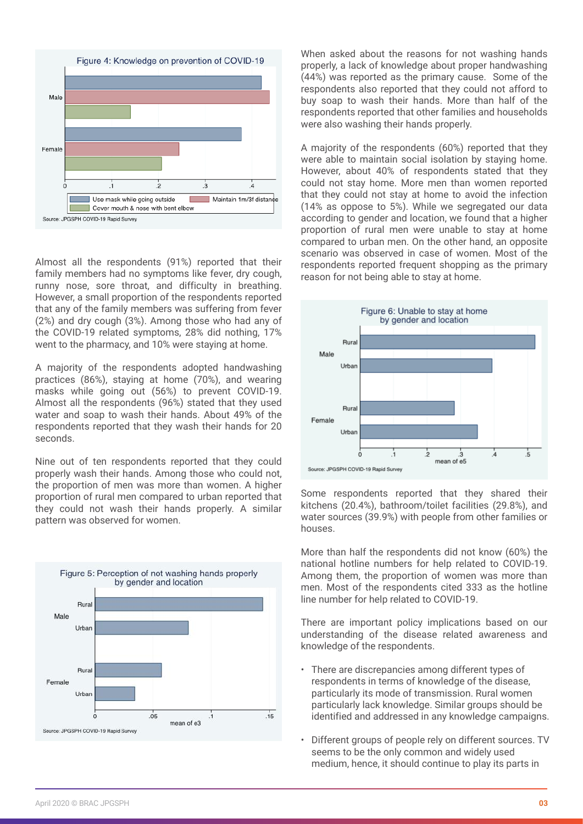

Almost all the respondents (91%) reported that their family members had no symptoms like fever, dry cough, runny nose, sore throat, and difficulty in breathing. However, a small proportion of the respondents reported that any of the family members was suffering from fever (2%) and dry cough (3%). Among those who had any of the COVID-19 related symptoms, 28% did nothing, 17% went to the pharmacy, and 10% were staying at home.

A majority of the respondents adopted handwashing practices (86%), staying at home (70%), and wearing masks while going out (56%) to prevent COVID-19. Almost all the respondents (96%) stated that they used water and soap to wash their hands. About 49% of the respondents reported that they wash their hands for 20 seconds.

Nine out of ten respondents reported that they could properly wash their hands. Among those who could not, the proportion of men was more than women. A higher proportion of rural men compared to urban reported that they could not wash their hands properly. A similar pattern was observed for women.



When asked about the reasons for not washing hands properly, a lack of knowledge about proper handwashing (44%) was reported as the primary cause. Some of the respondents also reported that they could not afford to buy soap to wash their hands. More than half of the respondents reported that other families and households were also washing their hands properly.

A majority of the respondents (60%) reported that they were able to maintain social isolation by staying home. However, about 40% of respondents stated that they could not stay home. More men than women reported that they could not stay at home to avoid the infection (14% as oppose to 5%). While we segregated our data according to gender and location, we found that a higher proportion of rural men were unable to stay at home compared to urban men. On the other hand, an opposite scenario was observed in case of women. Most of the respondents reported frequent shopping as the primary reason for not being able to stay at home.



Some respondents reported that they shared their kitchens (20.4%), bathroom/toilet facilities (29.8%), and water sources (39.9%) with people from other families or houses.

More than half the respondents did not know (60%) the national hotline numbers for help related to COVID-19. Among them, the proportion of women was more than men. Most of the respondents cited 333 as the hotline line number for help related to COVID-19.

There are important policy implications based on our understanding of the disease related awareness and knowledge of the respondents.

- There are discrepancies among different types of respondents in terms of knowledge of the disease, particularly its mode of transmission. Rural women particularly lack knowledge. Similar groups should be identified and addressed in any knowledge campaigns.
- Different groups of people rely on different sources. TV seems to be the only common and widely used medium, hence, it should continue to play its parts in